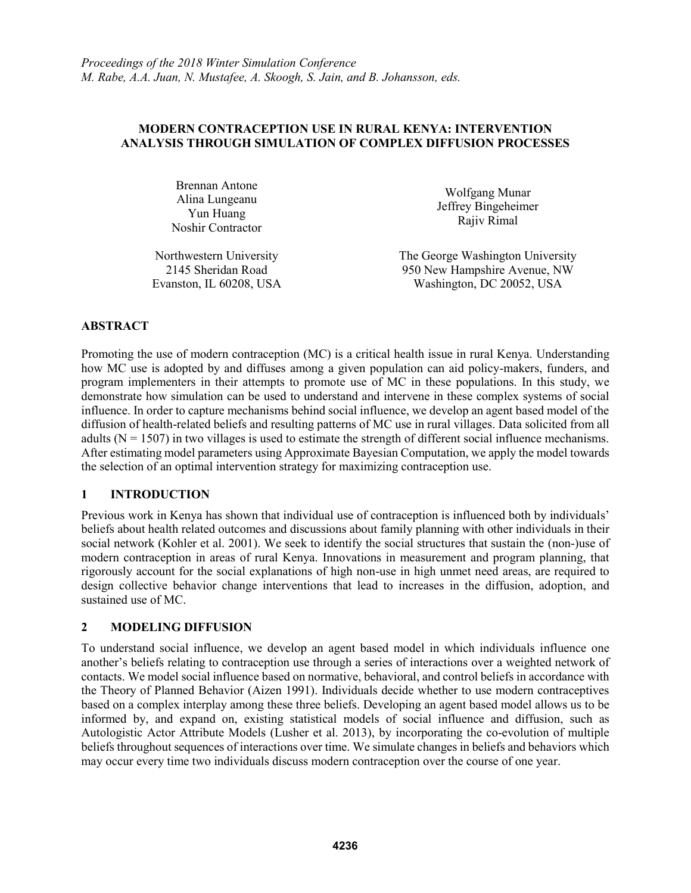### **MODERN CONTRACEPTION USE IN RURAL KENYA: INTERVENTION ANALYSIS THROUGH SIMULATION OF COMPLEX DIFFUSION PROCESSES**

Brennan Antone Alina Lungeanu Yun Huang Noshir Contractor

Wolfgang Munar Jeffrey Bingeheimer Rajiv Rimal

Northwestern University The George Washington University 2145 Sheridan Road 950 New Hampshire Avenue, NW Evanston, IL 60208, USA Washington, DC 20052, USA

## **ABSTRACT**

Promoting the use of modern contraception (MC) is a critical health issue in rural Kenya. Understanding how MC use is adopted by and diffuses among a given population can aid policy-makers, funders, and program implementers in their attempts to promote use of MC in these populations. In this study, we demonstrate how simulation can be used to understand and intervene in these complex systems of social influence. In order to capture mechanisms behind social influence, we develop an agent based model of the diffusion of health-related beliefs and resulting patterns of MC use in rural villages. Data solicited from all adults ( $N = 1507$ ) in two villages is used to estimate the strength of different social influence mechanisms. After estimating model parameters using Approximate Bayesian Computation, we apply the model towards the selection of an optimal intervention strategy for maximizing contraception use.

### **1 INTRODUCTION**

Previous work in Kenya has shown that individual use of contraception is influenced both by individuals' beliefs about health related outcomes and discussions about family planning with other individuals in their social network (Kohler et al. 2001). We seek to identify the social structures that sustain the (non-)use of modern contraception in areas of rural Kenya. Innovations in measurement and program planning, that rigorously account for the social explanations of high non-use in high unmet need areas, are required to design collective behavior change interventions that lead to increases in the diffusion, adoption, and sustained use of MC.

### **2 MODELING DIFFUSION**

To understand social influence, we develop an agent based model in which individuals influence one another's beliefs relating to contraception use through a series of interactions over a weighted network of contacts. We model social influence based on normative, behavioral, and control beliefs in accordance with the Theory of Planned Behavior (Aizen 1991). Individuals decide whether to use modern contraceptives based on a complex interplay among these three beliefs. Developing an agent based model allows us to be informed by, and expand on, existing statistical models of social influence and diffusion, such as Autologistic Actor Attribute Models (Lusher et al. 2013), by incorporating the co-evolution of multiple beliefs throughout sequences of interactions over time. We simulate changes in beliefs and behaviors which may occur every time two individuals discuss modern contraception over the course of one year.